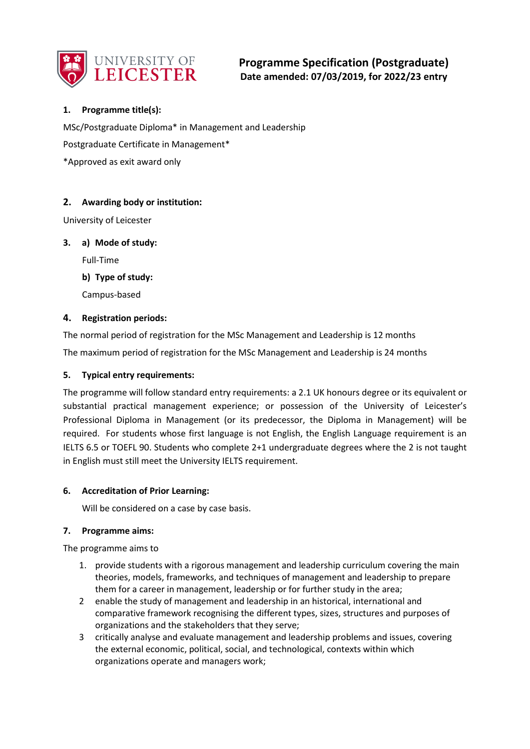

## **1. Programme title(s):**

MSc/Postgraduate Diploma\* in Management and Leadership Postgraduate Certificate in Management\* \*Approved as exit award only

## **2. Awarding body or institution:**

University of Leicester

## **3. a) Mode of study:**

Full-Time

**b) Type of study:**

Campus-based

## **4. Registration periods:**

The normal period of registration for the MSc Management and Leadership is 12 months The maximum period of registration for the MSc Management and Leadership is 24 months

## **5. Typical entry requirements:**

The programme will follow standard entry requirements: a 2.1 UK honours degree or its equivalent or substantial practical management experience; or possession of the University of Leicester's Professional Diploma in Management (or its predecessor, the Diploma in Management) will be required. For students whose first language is not English, the English Language requirement is an IELTS 6.5 or TOEFL 90. Students who complete 2+1 undergraduate degrees where the 2 is not taught in English must still meet the University IELTS requirement.

#### **6. Accreditation of Prior Learning:**

Will be considered on a case by case basis.

#### **7. Programme aims:**

The programme aims to

- 1. provide students with a rigorous management and leadership curriculum covering the main theories, models, frameworks, and techniques of management and leadership to prepare them for a career in management, leadership or for further study in the area;
- 2 enable the study of management and leadership in an historical, international and comparative framework recognising the different types, sizes, structures and purposes of organizations and the stakeholders that they serve;
- 3 critically analyse and evaluate management and leadership problems and issues, covering the external economic, political, social, and technological, contexts within which organizations operate and managers work;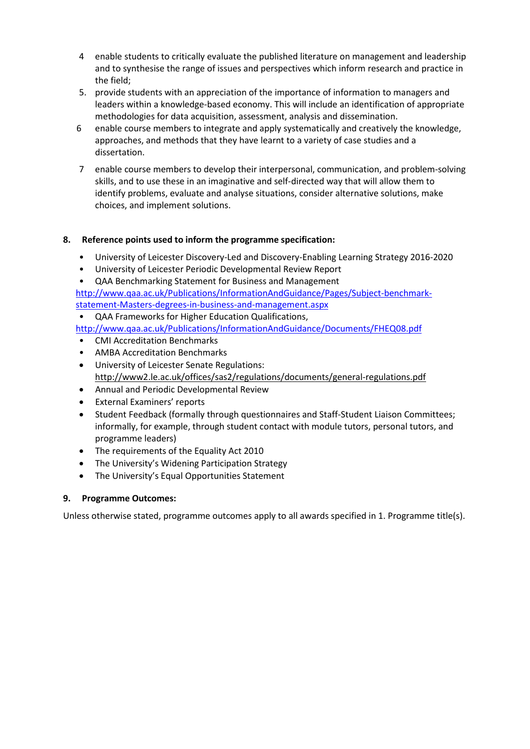- 4 enable students to critically evaluate the published literature on management and leadership and to synthesise the range of issues and perspectives which inform research and practice in the field;
- 5. provide students with an appreciation of the importance of information to managers and leaders within a knowledge-based economy. This will include an identification of appropriate methodologies for data acquisition, assessment, analysis and dissemination.
- 6 enable course members to integrate and apply systematically and creatively the knowledge, approaches, and methods that they have learnt to a variety of case studies and a dissertation.
- 7 enable course members to develop their interpersonal, communication, and problem-solving skills, and to use these in an imaginative and self-directed way that will allow them to identify problems, evaluate and analyse situations, consider alternative solutions, make choices, and implement solutions.

## **8. Reference points used to inform the programme specification:**

- University of Leicester Discovery-Led and Discovery-Enabling Learning Strategy 2016-2020
- University of Leicester Periodic Developmental Review Report
- QAA Benchmarking Statement for Business and Management

[http://www.qaa.ac.uk/Publications/InformationAndGuidance/Pages/Subject-benchmark](http://www.qaa.ac.uk/Publications/InformationAndGuidance/Pages/Subject-benchmark-statement-Masters-degrees-in-business-and-management.aspx)[statement-Masters-degrees-in-business-and-management.aspx](http://www.qaa.ac.uk/Publications/InformationAndGuidance/Pages/Subject-benchmark-statement-Masters-degrees-in-business-and-management.aspx)

• QAA Frameworks for Higher Education Qualifications,

<http://www.qaa.ac.uk/Publications/InformationAndGuidance/Documents/FHEQ08.pdf>

- CMI Accreditation Benchmarks
- AMBA Accreditation Benchmarks
- University of Leicester Senate Regulations: <http://www2.le.ac.uk/offices/sas2/regulations/documents/general-regulations.pdf>
- Annual and Periodic Developmental Review
- External Examiners' reports
- Student Feedback (formally through questionnaires and Staff-Student Liaison Committees; informally, for example, through student contact with module tutors, personal tutors, and programme leaders)
- The requirements of the Equality Act 2010
- The University's Widening Participation Strategy
- The University's Equal Opportunities Statement

## **9. Programme Outcomes:**

Unless otherwise stated, programme outcomes apply to all awards specified in 1. Programme title(s).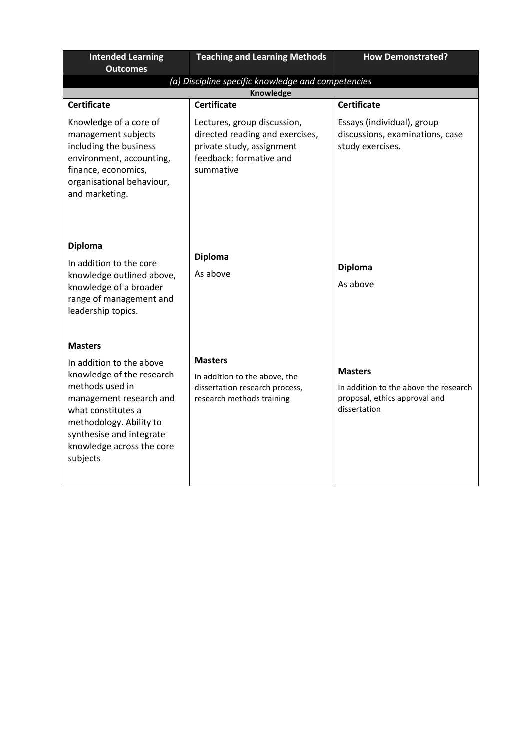| <b>Intended Learning</b><br><b>Outcomes</b>                                                                                                                                                   | <b>Teaching and Learning Methods</b>                                                                                                | <b>How Demonstrated?</b>                                                                                 |
|-----------------------------------------------------------------------------------------------------------------------------------------------------------------------------------------------|-------------------------------------------------------------------------------------------------------------------------------------|----------------------------------------------------------------------------------------------------------|
| (a) Discipline specific knowledge and competencies                                                                                                                                            |                                                                                                                                     |                                                                                                          |
|                                                                                                                                                                                               | Knowledge                                                                                                                           |                                                                                                          |
| <b>Certificate</b>                                                                                                                                                                            | <b>Certificate</b>                                                                                                                  | <b>Certificate</b>                                                                                       |
| Knowledge of a core of<br>management subjects<br>including the business<br>environment, accounting,<br>finance, economics,<br>organisational behaviour,<br>and marketing.                     | Lectures, group discussion,<br>directed reading and exercises,<br>private study, assignment<br>feedback: formative and<br>summative | Essays (individual), group<br>discussions, examinations, case<br>study exercises.                        |
| <b>Diploma</b><br>In addition to the core<br>knowledge outlined above,<br>knowledge of a broader<br>range of management and<br>leadership topics.                                             | Diploma<br>As above                                                                                                                 | <b>Diploma</b><br>As above                                                                               |
| <b>Masters</b><br>In addition to the above                                                                                                                                                    | <b>Masters</b>                                                                                                                      |                                                                                                          |
| knowledge of the research<br>methods used in<br>management research and<br>what constitutes a<br>methodology. Ability to<br>synthesise and integrate<br>knowledge across the core<br>subjects | In addition to the above, the<br>dissertation research process,<br>research methods training                                        | <b>Masters</b><br>In addition to the above the research<br>proposal, ethics approval and<br>dissertation |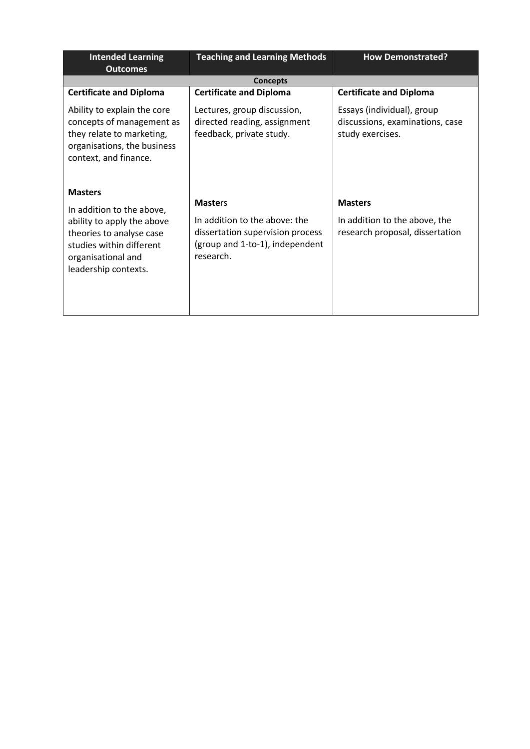| <b>Intended Learning</b><br><b>Outcomes</b>                                                                                                                                     | <b>Teaching and Learning Methods</b>                                                                                                | <b>How Demonstrated?</b>                                                           |  |
|---------------------------------------------------------------------------------------------------------------------------------------------------------------------------------|-------------------------------------------------------------------------------------------------------------------------------------|------------------------------------------------------------------------------------|--|
|                                                                                                                                                                                 | <b>Concepts</b>                                                                                                                     |                                                                                    |  |
| <b>Certificate and Diploma</b>                                                                                                                                                  | <b>Certificate and Diploma</b>                                                                                                      | <b>Certificate and Diploma</b>                                                     |  |
| Ability to explain the core<br>concepts of management as<br>they relate to marketing,<br>organisations, the business<br>context, and finance.                                   | Lectures, group discussion,<br>directed reading, assignment<br>feedback, private study.                                             | Essays (individual), group<br>discussions, examinations, case<br>study exercises.  |  |
| <b>Masters</b><br>In addition to the above,<br>ability to apply the above<br>theories to analyse case<br>studies within different<br>organisational and<br>leadership contexts. | <b>Masters</b><br>In addition to the above: the<br>dissertation supervision process<br>(group and 1-to-1), independent<br>research. | <b>Masters</b><br>In addition to the above, the<br>research proposal, dissertation |  |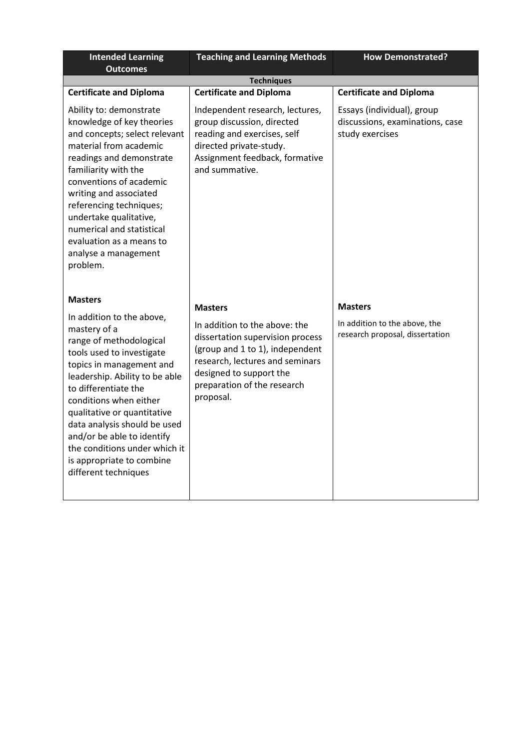| <b>Intended Learning</b><br><b>Outcomes</b>                                                                                                                                                                                                                                                                                                                                                                            | <b>Teaching and Learning Methods</b>                                                                                                                                                                                             | <b>How Demonstrated?</b>                                                           |
|------------------------------------------------------------------------------------------------------------------------------------------------------------------------------------------------------------------------------------------------------------------------------------------------------------------------------------------------------------------------------------------------------------------------|----------------------------------------------------------------------------------------------------------------------------------------------------------------------------------------------------------------------------------|------------------------------------------------------------------------------------|
|                                                                                                                                                                                                                                                                                                                                                                                                                        | <b>Techniques</b>                                                                                                                                                                                                                |                                                                                    |
| <b>Certificate and Diploma</b>                                                                                                                                                                                                                                                                                                                                                                                         | <b>Certificate and Diploma</b>                                                                                                                                                                                                   | <b>Certificate and Diploma</b>                                                     |
| Ability to: demonstrate<br>knowledge of key theories<br>and concepts; select relevant<br>material from academic<br>readings and demonstrate<br>familiarity with the<br>conventions of academic<br>writing and associated<br>referencing techniques;<br>undertake qualitative,<br>numerical and statistical<br>evaluation as a means to<br>analyse a management<br>problem.                                             | Independent research, lectures,<br>group discussion, directed<br>reading and exercises, self<br>directed private-study.<br>Assignment feedback, formative<br>and summative.                                                      | Essays (individual), group<br>discussions, examinations, case<br>study exercises   |
| <b>Masters</b><br>In addition to the above,<br>mastery of a<br>range of methodological<br>tools used to investigate<br>topics in management and<br>leadership. Ability to be able<br>to differentiate the<br>conditions when either<br>qualitative or quantitative<br>data analysis should be used<br>and/or be able to identify<br>the conditions under which it<br>is appropriate to combine<br>different techniques | <b>Masters</b><br>In addition to the above: the<br>dissertation supervision process<br>(group and 1 to 1), independent<br>research, lectures and seminars<br>designed to support the<br>preparation of the research<br>proposal. | <b>Masters</b><br>In addition to the above, the<br>research proposal, dissertation |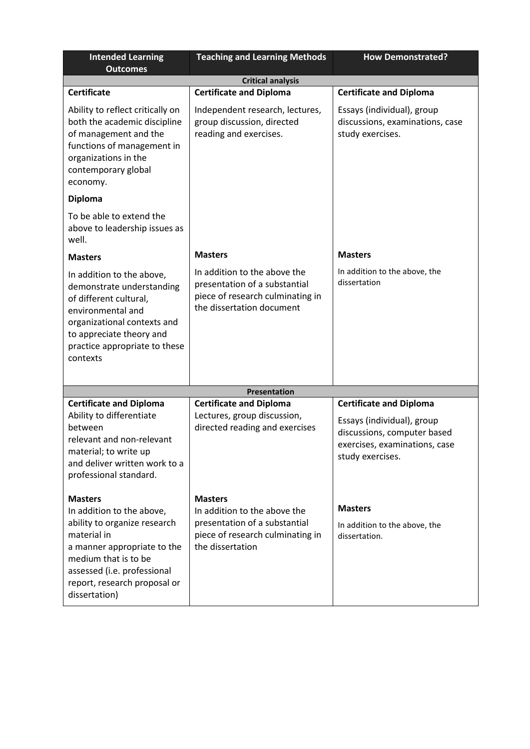| <b>Intended Learning</b><br><b>Outcomes</b>                                                                                                                                                                                       | <b>Teaching and Learning Methods</b>                                                                                                    | <b>How Demonstrated?</b>                                                                                                                         |  |
|-----------------------------------------------------------------------------------------------------------------------------------------------------------------------------------------------------------------------------------|-----------------------------------------------------------------------------------------------------------------------------------------|--------------------------------------------------------------------------------------------------------------------------------------------------|--|
| <b>Critical analysis</b>                                                                                                                                                                                                          |                                                                                                                                         |                                                                                                                                                  |  |
| <b>Certificate</b>                                                                                                                                                                                                                | <b>Certificate and Diploma</b>                                                                                                          | <b>Certificate and Diploma</b>                                                                                                                   |  |
| Ability to reflect critically on<br>both the academic discipline<br>of management and the<br>functions of management in<br>organizations in the<br>contemporary global<br>economy.                                                | Independent research, lectures,<br>group discussion, directed<br>reading and exercises.                                                 | Essays (individual), group<br>discussions, examinations, case<br>study exercises.                                                                |  |
| <b>Diploma</b>                                                                                                                                                                                                                    |                                                                                                                                         |                                                                                                                                                  |  |
| To be able to extend the<br>above to leadership issues as<br>well.                                                                                                                                                                |                                                                                                                                         |                                                                                                                                                  |  |
| <b>Masters</b>                                                                                                                                                                                                                    | <b>Masters</b>                                                                                                                          | <b>Masters</b>                                                                                                                                   |  |
| In addition to the above,<br>demonstrate understanding<br>of different cultural,<br>environmental and<br>organizational contexts and<br>to appreciate theory and<br>practice appropriate to these<br>contexts                     | In addition to the above the<br>presentation of a substantial<br>piece of research culminating in<br>the dissertation document          | In addition to the above, the<br>dissertation                                                                                                    |  |
|                                                                                                                                                                                                                                   | <b>Presentation</b>                                                                                                                     |                                                                                                                                                  |  |
| <b>Certificate and Diploma</b><br>Ability to differentiate<br>between<br>relevant and non-relevant<br>material; to write up<br>and deliver written work to a<br>professional standard.                                            | <b>Certificate and Diploma</b><br>Lectures, group discussion,<br>directed reading and exercises                                         | <b>Certificate and Diploma</b><br>Essays (individual), group<br>discussions, computer based<br>exercises, examinations, case<br>study exercises. |  |
| <b>Masters</b><br>In addition to the above,<br>ability to organize research<br>material in<br>a manner appropriate to the<br>medium that is to be<br>assessed (i.e. professional<br>report, research proposal or<br>dissertation) | <b>Masters</b><br>In addition to the above the<br>presentation of a substantial<br>piece of research culminating in<br>the dissertation | <b>Masters</b><br>In addition to the above, the<br>dissertation.                                                                                 |  |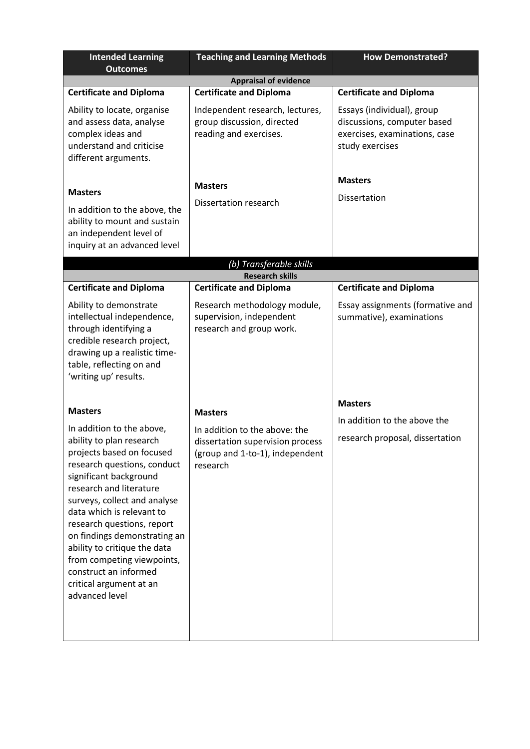| <b>Intended Learning</b><br><b>Outcomes</b>                                                                                                                                                                                                                                                                                                                                                                                                             | <b>Teaching and Learning Methods</b>                                                                                               | <b>How Demonstrated?</b>                                                                                      |
|---------------------------------------------------------------------------------------------------------------------------------------------------------------------------------------------------------------------------------------------------------------------------------------------------------------------------------------------------------------------------------------------------------------------------------------------------------|------------------------------------------------------------------------------------------------------------------------------------|---------------------------------------------------------------------------------------------------------------|
| <b>Appraisal of evidence</b>                                                                                                                                                                                                                                                                                                                                                                                                                            |                                                                                                                                    |                                                                                                               |
| <b>Certificate and Diploma</b>                                                                                                                                                                                                                                                                                                                                                                                                                          | <b>Certificate and Diploma</b>                                                                                                     | <b>Certificate and Diploma</b>                                                                                |
| Ability to locate, organise<br>and assess data, analyse<br>complex ideas and<br>understand and criticise<br>different arguments.                                                                                                                                                                                                                                                                                                                        | Independent research, lectures,<br>group discussion, directed<br>reading and exercises.                                            | Essays (individual), group<br>discussions, computer based<br>exercises, examinations, case<br>study exercises |
| <b>Masters</b>                                                                                                                                                                                                                                                                                                                                                                                                                                          | <b>Masters</b>                                                                                                                     | <b>Masters</b>                                                                                                |
| In addition to the above, the<br>ability to mount and sustain<br>an independent level of<br>inquiry at an advanced level                                                                                                                                                                                                                                                                                                                                | Dissertation research                                                                                                              | Dissertation                                                                                                  |
|                                                                                                                                                                                                                                                                                                                                                                                                                                                         | (b) Transferable skills<br><b>Research skills</b>                                                                                  |                                                                                                               |
| <b>Certificate and Diploma</b>                                                                                                                                                                                                                                                                                                                                                                                                                          | <b>Certificate and Diploma</b>                                                                                                     | <b>Certificate and Diploma</b>                                                                                |
| Ability to demonstrate<br>intellectual independence,<br>through identifying a<br>credible research project,<br>drawing up a realistic time-<br>table, reflecting on and<br>'writing up' results.                                                                                                                                                                                                                                                        | Research methodology module,<br>supervision, independent<br>research and group work.                                               | Essay assignments (formative and<br>summative), examinations                                                  |
| <b>Masters</b><br>In addition to the above,<br>ability to plan research<br>projects based on focused<br>research questions, conduct<br>significant background<br>research and literature<br>surveys, collect and analyse<br>data which is relevant to<br>research questions, report<br>on findings demonstrating an<br>ability to critique the data<br>from competing viewpoints,<br>construct an informed<br>critical argument at an<br>advanced level | <b>Masters</b><br>In addition to the above: the<br>dissertation supervision process<br>(group and 1-to-1), independent<br>research | <b>Masters</b><br>In addition to the above the<br>research proposal, dissertation                             |
|                                                                                                                                                                                                                                                                                                                                                                                                                                                         |                                                                                                                                    |                                                                                                               |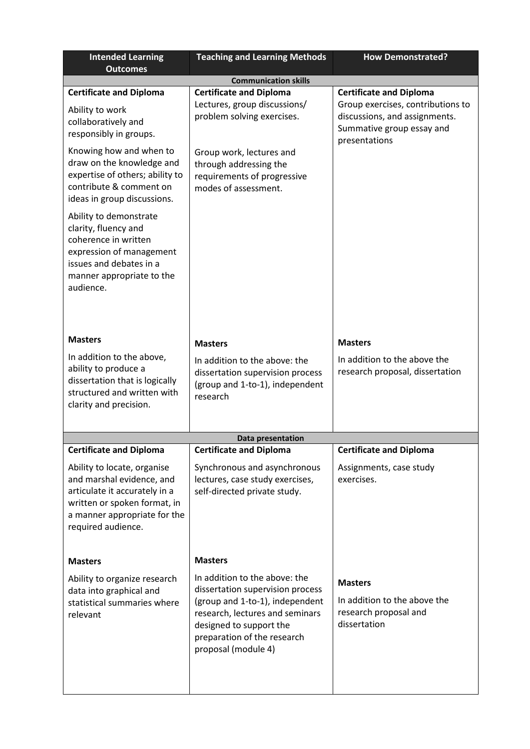| Group exercises, contributions to<br>discussions, and assignments.<br>Summative group essay and |
|-------------------------------------------------------------------------------------------------|
|                                                                                                 |
|                                                                                                 |
|                                                                                                 |
| In addition to the above the<br>research proposal, dissertation                                 |
|                                                                                                 |
|                                                                                                 |
|                                                                                                 |
|                                                                                                 |
| In addition to the above the                                                                    |
|                                                                                                 |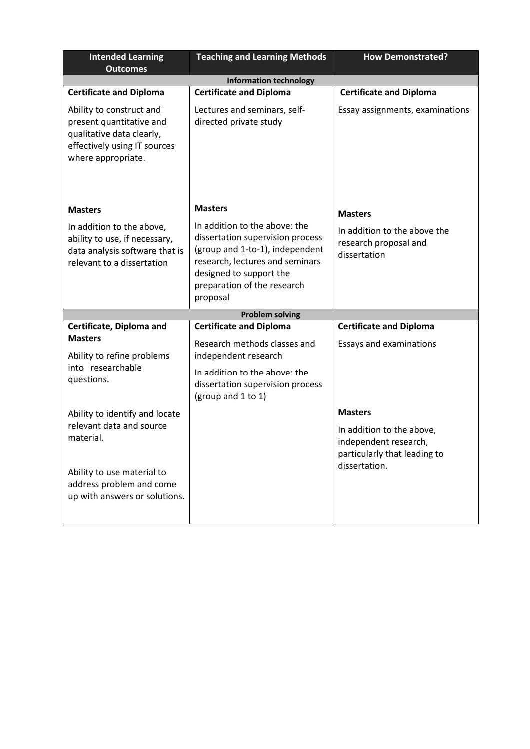| <b>Intended Learning</b>                                                                                                                | <b>Teaching and Learning Methods</b>                                                                                                                                                                          | <b>How Demonstrated?</b>                                                                            |
|-----------------------------------------------------------------------------------------------------------------------------------------|---------------------------------------------------------------------------------------------------------------------------------------------------------------------------------------------------------------|-----------------------------------------------------------------------------------------------------|
| <b>Outcomes</b>                                                                                                                         |                                                                                                                                                                                                               |                                                                                                     |
| <b>Information technology</b>                                                                                                           |                                                                                                                                                                                                               |                                                                                                     |
| <b>Certificate and Diploma</b>                                                                                                          | <b>Certificate and Diploma</b>                                                                                                                                                                                | <b>Certificate and Diploma</b>                                                                      |
| Ability to construct and<br>present quantitative and<br>qualitative data clearly,<br>effectively using IT sources<br>where appropriate. | Lectures and seminars, self-<br>directed private study                                                                                                                                                        | Essay assignments, examinations                                                                     |
| <b>Masters</b>                                                                                                                          | <b>Masters</b>                                                                                                                                                                                                | <b>Masters</b>                                                                                      |
| In addition to the above,<br>ability to use, if necessary,<br>data analysis software that is<br>relevant to a dissertation              | In addition to the above: the<br>dissertation supervision process<br>(group and 1-to-1), independent<br>research, lectures and seminars<br>designed to support the<br>preparation of the research<br>proposal | In addition to the above the<br>research proposal and<br>dissertation                               |
|                                                                                                                                         | <b>Problem solving</b>                                                                                                                                                                                        |                                                                                                     |
| Certificate, Diploma and                                                                                                                | <b>Certificate and Diploma</b>                                                                                                                                                                                | <b>Certificate and Diploma</b>                                                                      |
| <b>Masters</b><br>Ability to refine problems                                                                                            | Research methods classes and<br>independent research                                                                                                                                                          | Essays and examinations                                                                             |
| into researchable<br>questions.                                                                                                         | In addition to the above: the<br>dissertation supervision process<br>(group and 1 to 1)                                                                                                                       |                                                                                                     |
| Ability to identify and locate                                                                                                          |                                                                                                                                                                                                               | <b>Masters</b>                                                                                      |
| relevant data and source<br>material.<br>Ability to use material to<br>address problem and come<br>up with answers or solutions.        |                                                                                                                                                                                                               | In addition to the above,<br>independent research,<br>particularly that leading to<br>dissertation. |
|                                                                                                                                         |                                                                                                                                                                                                               |                                                                                                     |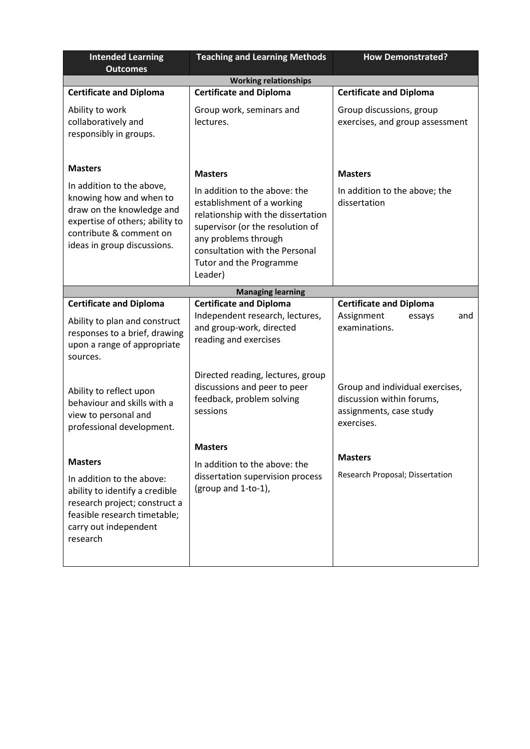| <b>Intended Learning</b><br><b>Outcomes</b>                                                                                                                                    | <b>Teaching and Learning Methods</b><br><b>How Demonstrated?</b>                                                                                                                                                                      |                                                                                                       |  |
|--------------------------------------------------------------------------------------------------------------------------------------------------------------------------------|---------------------------------------------------------------------------------------------------------------------------------------------------------------------------------------------------------------------------------------|-------------------------------------------------------------------------------------------------------|--|
| <b>Working relationships</b>                                                                                                                                                   |                                                                                                                                                                                                                                       |                                                                                                       |  |
| <b>Certificate and Diploma</b>                                                                                                                                                 | <b>Certificate and Diploma</b>                                                                                                                                                                                                        | <b>Certificate and Diploma</b>                                                                        |  |
| Ability to work<br>collaboratively and<br>responsibly in groups.                                                                                                               | Group work, seminars and<br>lectures.                                                                                                                                                                                                 | Group discussions, group<br>exercises, and group assessment                                           |  |
| <b>Masters</b>                                                                                                                                                                 | <b>Masters</b>                                                                                                                                                                                                                        | <b>Masters</b>                                                                                        |  |
| In addition to the above,<br>knowing how and when to<br>draw on the knowledge and<br>expertise of others; ability to<br>contribute & comment on<br>ideas in group discussions. | In addition to the above: the<br>establishment of a working<br>relationship with the dissertation<br>supervisor (or the resolution of<br>any problems through<br>consultation with the Personal<br>Tutor and the Programme<br>Leader) | In addition to the above; the<br>dissertation                                                         |  |
|                                                                                                                                                                                | <b>Managing learning</b>                                                                                                                                                                                                              |                                                                                                       |  |
| <b>Certificate and Diploma</b>                                                                                                                                                 | <b>Certificate and Diploma</b>                                                                                                                                                                                                        | <b>Certificate and Diploma</b>                                                                        |  |
| Ability to plan and construct<br>responses to a brief, drawing<br>upon a range of appropriate<br>sources.                                                                      | Independent research, lectures,<br>and group-work, directed<br>reading and exercises                                                                                                                                                  | Assignment<br>essays<br>and<br>examinations.                                                          |  |
| Ability to reflect upon<br>behaviour and skills with a<br>view to personal and<br>professional development.                                                                    | Directed reading, lectures, group<br>discussions and peer to peer<br>feedback, problem solving<br>sessions                                                                                                                            | Group and individual exercises,<br>discussion within forums,<br>assignments, case study<br>exercises. |  |
|                                                                                                                                                                                | <b>Masters</b>                                                                                                                                                                                                                        |                                                                                                       |  |
| <b>Masters</b>                                                                                                                                                                 | In addition to the above: the                                                                                                                                                                                                         | <b>Masters</b>                                                                                        |  |
| In addition to the above:<br>ability to identify a credible<br>research project; construct a<br>feasible research timetable;<br>carry out independent<br>research              | dissertation supervision process<br>(group and 1-to-1),                                                                                                                                                                               | Research Proposal; Dissertation                                                                       |  |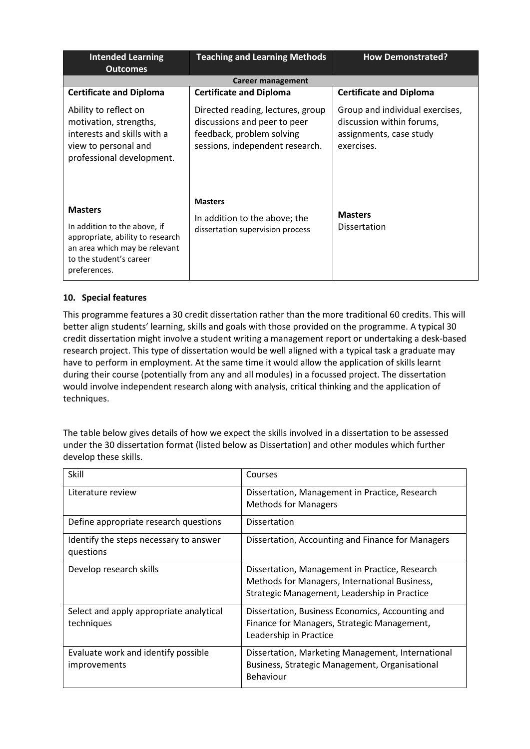| <b>Intended Learning</b><br><b>Outcomes</b>                                                                                                                    | <b>Teaching and Learning Methods</b>                                                                                              | <b>How Demonstrated?</b>                                                                              |
|----------------------------------------------------------------------------------------------------------------------------------------------------------------|-----------------------------------------------------------------------------------------------------------------------------------|-------------------------------------------------------------------------------------------------------|
|                                                                                                                                                                | Career management                                                                                                                 |                                                                                                       |
| <b>Certificate and Diploma</b>                                                                                                                                 | <b>Certificate and Diploma</b>                                                                                                    | <b>Certificate and Diploma</b>                                                                        |
| Ability to reflect on<br>motivation, strengths,<br>interests and skills with a<br>view to personal and<br>professional development.                            | Directed reading, lectures, group<br>discussions and peer to peer<br>feedback, problem solving<br>sessions, independent research. | Group and individual exercises,<br>discussion within forums,<br>assignments, case study<br>exercises. |
| <b>Masters</b><br>In addition to the above, if<br>appropriate, ability to research<br>an area which may be relevant<br>to the student's career<br>preferences. | <b>Masters</b><br>In addition to the above; the<br>dissertation supervision process                                               | <b>Masters</b><br><b>Dissertation</b>                                                                 |

## **10. Special features**

This programme features a 30 credit dissertation rather than the more traditional 60 credits. This will better align students' learning, skills and goals with those provided on the programme. A typical 30 credit dissertation might involve a student writing a management report or undertaking a desk-based research project. This type of dissertation would be well aligned with a typical task a graduate may have to perform in employment. At the same time it would allow the application of skills learnt during their course (potentially from any and all modules) in a focussed project. The dissertation would involve independent research along with analysis, critical thinking and the application of techniques.

The table below gives details of how we expect the skills involved in a dissertation to be assessed under the 30 dissertation format (listed below as Dissertation) and other modules which further develop these skills.

| Skill                                                      | Courses                                                                                                                                         |
|------------------------------------------------------------|-------------------------------------------------------------------------------------------------------------------------------------------------|
| Literature review                                          | Dissertation, Management in Practice, Research<br><b>Methods for Managers</b>                                                                   |
| Define appropriate research questions                      | <b>Dissertation</b>                                                                                                                             |
| Identify the steps necessary to answer<br>questions        | Dissertation, Accounting and Finance for Managers                                                                                               |
| Develop research skills                                    | Dissertation, Management in Practice, Research<br>Methods for Managers, International Business,<br>Strategic Management, Leadership in Practice |
| Select and apply appropriate analytical<br>techniques      | Dissertation, Business Economics, Accounting and<br>Finance for Managers, Strategic Management,<br>Leadership in Practice                       |
| Evaluate work and identify possible<br><i>improvements</i> | Dissertation, Marketing Management, International<br>Business, Strategic Management, Organisational<br>Behaviour                                |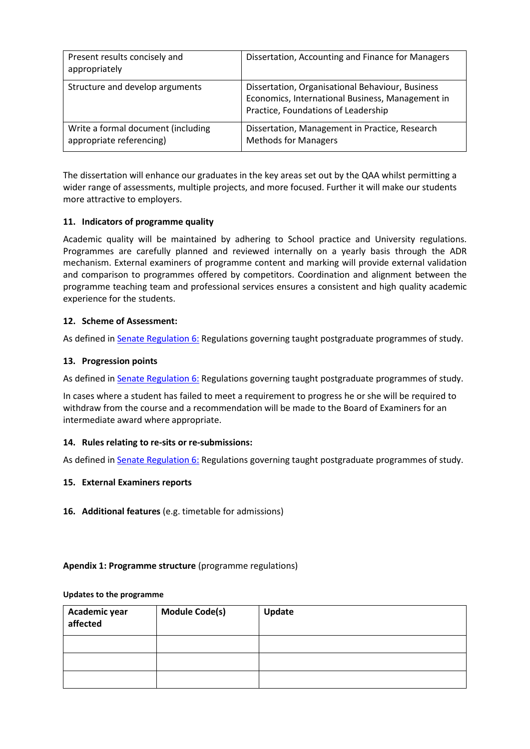| Present results concisely and<br>appropriately                 | Dissertation, Accounting and Finance for Managers                                                                                           |
|----------------------------------------------------------------|---------------------------------------------------------------------------------------------------------------------------------------------|
| Structure and develop arguments                                | Dissertation, Organisational Behaviour, Business<br>Economics, International Business, Management in<br>Practice, Foundations of Leadership |
| Write a formal document (including<br>appropriate referencing) | Dissertation, Management in Practice, Research<br><b>Methods for Managers</b>                                                               |

The dissertation will enhance our graduates in the key areas set out by the QAA whilst permitting a wider range of assessments, multiple projects, and more focused. Further it will make our students more attractive to employers.

## **11. Indicators of programme quality**

Academic quality will be maintained by adhering to School practice and University regulations. Programmes are carefully planned and reviewed internally on a yearly basis through the ADR mechanism. External examiners of programme content and marking will provide external validation and comparison to programmes offered by competitors. Coordination and alignment between the programme teaching team and professional services ensures a consistent and high quality academic experience for the students.

#### **12. Scheme of Assessment:**

As defined i[n Senate Regulation 6:](http://www.le.ac.uk/senate-regulation6) Regulations governing taught postgraduate programmes of study.

## **13. Progression points**

As defined i[n Senate Regulation 6:](http://www.le.ac.uk/senate-regulation6) Regulations governing taught postgraduate programmes of study.

In cases where a student has failed to meet a requirement to progress he or she will be required to withdraw from the course and a recommendation will be made to the Board of Examiners for an intermediate award where appropriate.

#### **14. Rules relating to re-sits or re-submissions:**

As defined i[n Senate Regulation 6:](http://www.le.ac.uk/senate-regulation6) Regulations governing taught postgraduate programmes of study.

#### **15. External Examiners reports**

**16. Additional features** (e.g. timetable for admissions)

#### **Apendix 1: Programme structure** (programme regulations)

#### **Updates to the programme**

| Academic year<br>affected | <b>Module Code(s)</b> | Update |
|---------------------------|-----------------------|--------|
|                           |                       |        |
|                           |                       |        |
|                           |                       |        |